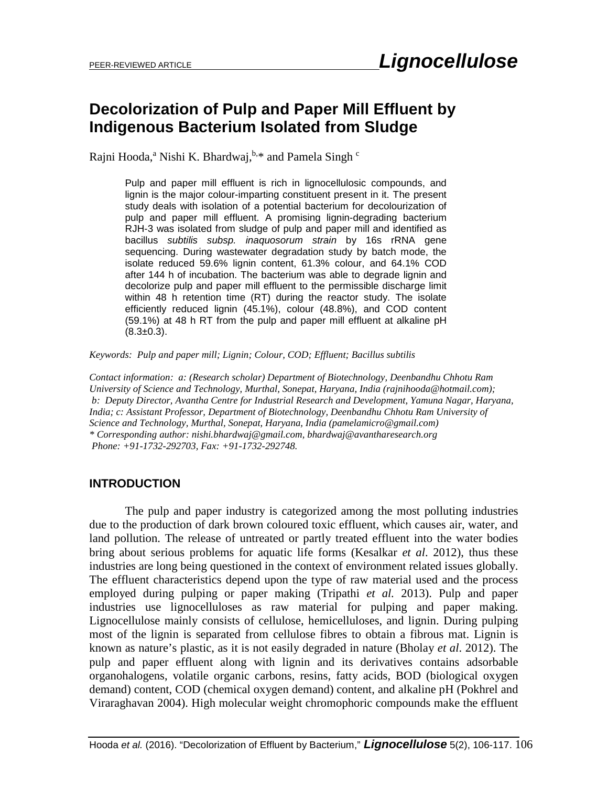# **Decolorization of Pulp and Paper Mill Effluent by Indigenous Bacterium Isolated from Sludge**

Rajni Hooda,<sup>a</sup> Nishi K. Bhardwaj,  $h,*$  and Pamela Singh  $c$ 

Pulp and paper mill effluent is rich in lignocellulosic compounds, and lignin is the major colour-imparting constituent present in it. The present study deals with isolation of a potential bacterium for decolourization of pulp and paper mill effluent. A promising lignin-degrading bacterium RJH-3 was isolated from sludge of pulp and paper mill and identified as bacillus *subtilis subsp. inaquosorum strain* by 16s rRNA gene sequencing. During wastewater degradation study by batch mode, the isolate reduced 59.6% lignin content, 61.3% colour, and 64.1% COD after 144 h of incubation. The bacterium was able to degrade lignin and decolorize pulp and paper mill effluent to the permissible discharge limit within 48 h retention time (RT) during the reactor study. The isolate efficiently reduced lignin (45.1%), colour (48.8%), and COD content (59.1%) at 48 h RT from the pulp and paper mill effluent at alkaline pH  $(8.3 \pm 0.3)$ .

*Keywords: Pulp and paper mill; Lignin; Colour, COD; Effluent; Bacillus subtilis* 

*Contact information: a: (Research scholar) Department of Biotechnology, Deenbandhu Chhotu Ram University of Science and Technology, Murthal, Sonepat, Haryana, India (rajnihooda@hotmail.com); b: Deputy Director, Avantha Centre for Industrial Research and Development, Yamuna Nagar, Haryana, India; c: Assistant Professor, Department of Biotechnology, Deenbandhu Chhotu Ram University of Science and Technology, Murthal, Sonepat, Haryana, India (pamelamicro@gmail.com) \* Corresponding author: [nishi.bhardwaj@gmail.com,](mailto:nishi.bhardwaj@gmail.com) [bhardwaj@avantharesearch.org](mailto:bhardwaj@avantharesearch.org)  Phone: +91-1732-292703, Fax: +91-1732-292748.*

# **INTRODUCTION**

The pulp and paper industry is categorized among the most polluting industries due to the production of dark brown coloured toxic effluent, which causes air, water, and land pollution. The release of untreated or partly treated effluent into the water bodies bring about serious problems for aquatic life forms (Kesalkar *et al*. 2012), thus these industries are long being questioned in the context of environment related issues globally. The effluent characteristics depend upon the type of raw material used and the process employed during pulping or paper making (Tripathi *et al.* 2013). Pulp and paper industries use lignocelluloses as raw material for pulping and paper making. Lignocellulose mainly consists of cellulose, hemicelluloses, and lignin. During pulping most of the lignin is separated from cellulose fibres to obtain a fibrous mat. Lignin is known as nature's plastic, as it is not easily degraded in nature (Bholay *et al*. 2012). The pulp and paper effluent along with lignin and its derivatives contains adsorbable organohalogens, volatile organic carbons, resins, fatty acids, BOD (biological oxygen demand) content, COD (chemical oxygen demand) content, and alkaline pH (Pokhrel and Viraraghavan 2004). High molecular weight chromophoric compounds make the effluent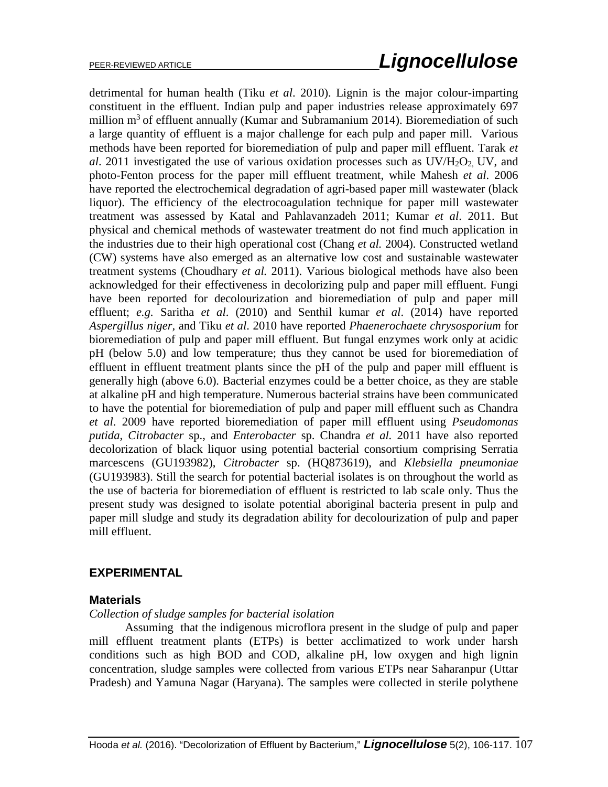detrimental for human health (Tiku *et al*. 2010). Lignin is the major colour-imparting constituent in the effluent. Indian pulp and paper industries release approximately 697 million  $m<sup>3</sup>$  of effluent annually (Kumar and Subramanium 2014). Bioremediation of such a large quantity of effluent is a major challenge for each pulp and paper mill. Various methods have been reported for bioremediation of pulp and paper mill effluent. Tarak *et al*. 2011 investigated the use of various oxidation processes such as UV/H2O2, UV, and photo-Fenton process for the paper mill effluent treatment, while Mahesh *et al*. 2006 have reported the electrochemical degradation of agri-based paper mill wastewater (black liquor). The efficiency of the electrocoagulation technique for paper mill wastewater treatment was assessed by Katal and Pahlavanzadeh 2011; Kumar *et al*. 2011. But physical and chemical methods of wastewater treatment do not find much application in the industries due to their high operational cost (Chang *et al.* 2004). Constructed wetland (CW) systems have also emerged as an alternative low cost and sustainable wastewater treatment systems (Choudhary *et al.* 2011). Various biological methods have also been acknowledged for their effectiveness in decolorizing pulp and paper mill effluent. Fungi have been reported for decolourization and bioremediation of pulp and paper mill effluent; *e.g.* Saritha *et al*. (2010) and Senthil kumar *et al*. (2014) have reported *Aspergillus niger,* and Tiku *et al*. 2010 have reported *Phaenerochaete chrysosporium* for bioremediation of pulp and paper mill effluent. But fungal enzymes work only at acidic pH (below 5.0) and low temperature; thus they cannot be used for bioremediation of effluent in effluent treatment plants since the pH of the pulp and paper mill effluent is generally high (above 6.0). Bacterial enzymes could be a better choice, as they are stable at alkaline pH and high temperature. Numerous bacterial strains have been communicated to have the potential for bioremediation of pulp and paper mill effluent such as Chandra *et al*. 2009 have reported bioremediation of paper mill effluent using *Pseudomonas putida*, *Citrobacter* sp., and *Enterobacter* sp. Chandra *et al.* 2011 have also reported decolorization of black liquor using potential bacterial consortium comprising Serratia marcescens (GU193982), *Citrobacter* sp. (HQ873619), and *Klebsiella pneumoniae* (GU193983). Still the search for potential bacterial isolates is on throughout the world as the use of bacteria for bioremediation of effluent is restricted to lab scale only. Thus the present study was designed to isolate potential aboriginal bacteria present in pulp and paper mill sludge and study its degradation ability for decolourization of pulp and paper mill effluent.

# **EXPERIMENTAL**

# **Materials**

# *Collection of sludge samples for bacterial isolation*

Assuming that the indigenous microflora present in the sludge of pulp and paper mill effluent treatment plants (ETPs) is better acclimatized to work under harsh conditions such as high BOD and COD, alkaline pH, low oxygen and high lignin concentration, sludge samples were collected from various ETPs near Saharanpur (Uttar Pradesh) and Yamuna Nagar (Haryana). The samples were collected in sterile polythene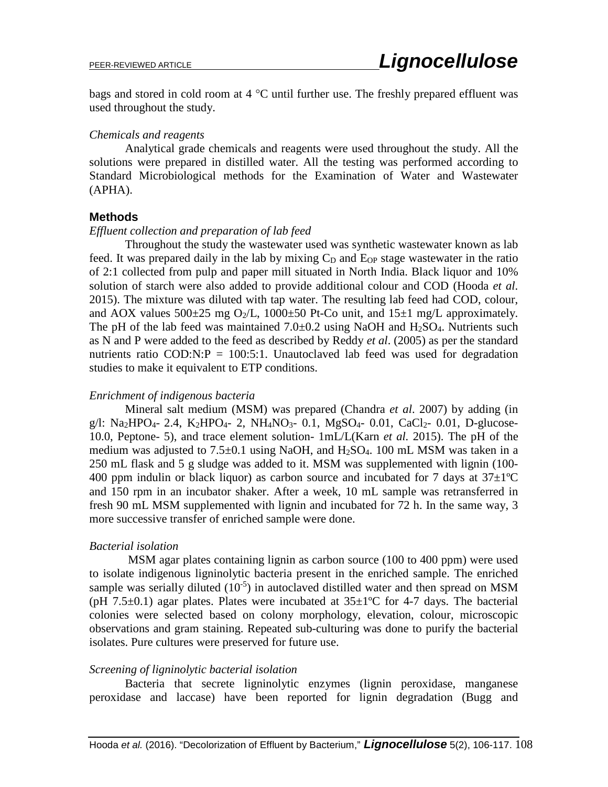bags and stored in cold room at 4 °C until further use. The freshly prepared effluent was used throughout the study.

### *Chemicals and reagents*

Analytical grade chemicals and reagents were used throughout the study. All the solutions were prepared in distilled water. All the testing was performed according to Standard Microbiological methods for the Examination of Water and Wastewater (APHA).

### **Methods**

#### *Effluent collection and preparation of lab feed*

Throughout the study the wastewater used was synthetic wastewater known as lab feed. It was prepared daily in the lab by mixing  $C<sub>D</sub>$  and  $E<sub>OP</sub>$  stage wastewater in the ratio of 2:1 collected from pulp and paper mill situated in North India. Black liquor and 10% solution of starch were also added to provide additional colour and COD (Hooda *et al*. 2015). The mixture was diluted with tap water. The resulting lab feed had COD, colour, and AOX values  $500\pm25$  mg O<sub>2</sub>/L, 1000 $\pm50$  Pt-Co unit, and  $15\pm1$  mg/L approximately. The pH of the lab feed was maintained  $7.0\pm0.2$  using NaOH and H<sub>2</sub>SO<sub>4</sub>. Nutrients such as N and P were added to the feed as described by Reddy *et al*. (2005) as per the standard nutrients ratio COD:N: $P = 100:5:1$ . Unautoclaved lab feed was used for degradation studies to make it equivalent to ETP conditions.

### *Enrichment of indigenous bacteria*

Mineral salt medium (MSM) was prepared (Chandra *et al*. 2007) by adding (in g/l: Na<sub>2</sub>HPO<sub>4</sub>- 2.4, K<sub>2</sub>HPO<sub>4</sub>- 2, NH<sub>4</sub>NO<sub>3</sub>- 0.1, MgSO<sub>4</sub>- 0.01, CaCl<sub>2</sub>- 0.01, D-glucose-10.0, Peptone- 5), and trace element solution- 1mL/L(Karn *et al.* 2015). The pH of the medium was adjusted to  $7.5\pm0.1$  using NaOH, and H<sub>2</sub>SO<sub>4</sub>. 100 mL MSM was taken in a 250 mL flask and 5 g sludge was added to it. MSM was supplemented with lignin (100- 400 ppm indulin or black liquor) as carbon source and incubated for 7 days at  $37\pm1\textdegree C$ and 150 rpm in an incubator shaker. After a week, 10 mL sample was retransferred in fresh 90 mL MSM supplemented with lignin and incubated for 72 h. In the same way, 3 more successive transfer of enriched sample were done.

#### *Bacterial isolation*

MSM agar plates containing lignin as carbon source (100 to 400 ppm) were used to isolate indigenous ligninolytic bacteria present in the enriched sample. The enriched sample was serially diluted  $(10^{-5})$  in autoclaved distilled water and then spread on MSM (pH 7.5 $\pm$ 0.1) agar plates. Plates were incubated at 35 $\pm$ 1°C for 4-7 days. The bacterial colonies were selected based on colony morphology, elevation, colour, microscopic observations and gram staining. Repeated sub-culturing was done to purify the bacterial isolates. Pure cultures were preserved for future use.

#### *Screening of ligninolytic bacterial isolation*

Bacteria that secrete ligninolytic enzymes (lignin peroxidase, manganese peroxidase and laccase) have been reported for lignin degradation (Bugg and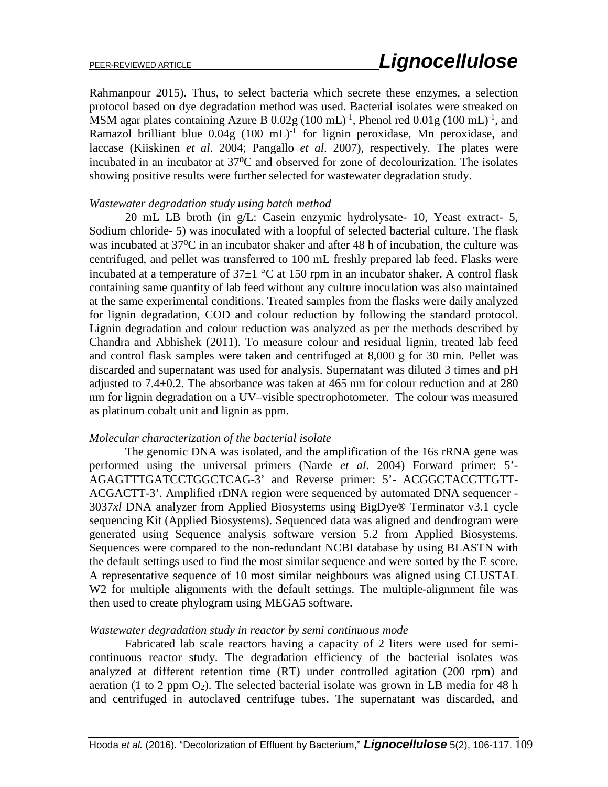Rahmanpour 2015). Thus, to select bacteria which secrete these enzymes, a selection protocol based on dye degradation method was used. Bacterial isolates were streaked on MSM agar plates containing Azure B  $0.02g$  (100 mL)<sup>-1</sup>, Phenol red  $0.01g$  (100 mL)<sup>-1</sup>, and Ramazol brilliant blue  $0.04g$   $(100 \text{ mL})$ <sup>-1</sup> for lignin peroxidase, Mn peroxidase, and laccase (Kiiskinen *et al*. 2004; Pangallo *et al*. 2007), respectively. The plates were incubated in an incubator at 37<sup>o</sup>C and observed for zone of decolourization. The isolates showing positive results were further selected for wastewater degradation study.

#### *Wastewater degradation study using batch method*

20 mL LB broth (in g/L: Casein enzymic hydrolysate- 10, Yeast extract- 5, Sodium chloride- 5) was inoculated with a loopful of selected bacterial culture. The flask was incubated at 37<sup>o</sup>C in an incubator shaker and after 48 h of incubation, the culture was centrifuged, and pellet was transferred to 100 mL freshly prepared lab feed. Flasks were incubated at a temperature of  $37\pm1$  °C at 150 rpm in an incubator shaker. A control flask containing same quantity of lab feed without any culture inoculation was also maintained at the same experimental conditions. Treated samples from the flasks were daily analyzed for lignin degradation, COD and colour reduction by following the standard protocol. Lignin degradation and colour reduction was analyzed as per the methods described by Chandra and Abhishek (2011). To measure colour and residual lignin, treated lab feed and control flask samples were taken and centrifuged at 8,000 g for 30 min. Pellet was discarded and supernatant was used for analysis. Supernatant was diluted 3 times and pH adjusted to 7.4±0.2. The absorbance was taken at 465 nm for colour reduction and at 280 nm for lignin degradation on a UV–visible spectrophotometer. The colour was measured as platinum cobalt unit and lignin as ppm.

#### *Molecular characterization of the bacterial isolate*

The genomic DNA was isolated, and the amplification of the 16s rRNA gene was performed using the universal primers (Narde *et al*. 2004) Forward primer: 5'- AGAGTTTGATCCTGGCTCAG-3' and Reverse primer: 5'- ACGGCTACCTTGTT-ACGACTT-3'. Amplified rDNA region were sequenced by automated DNA sequencer - 3037*xl* DNA analyzer from Applied Biosystems using BigDye® Terminator v3.1 cycle sequencing Kit (Applied Biosystems). Sequenced data was aligned and dendrogram were generated using Sequence analysis software version 5.2 from Applied Biosystems. Sequences were compared to the non-redundant NCBI database by using BLASTN with the default settings used to find the most similar sequence and were sorted by the E score. A representative sequence of 10 most similar neighbours was aligned using CLUSTAL W2 for multiple alignments with the default settings. The multiple-alignment file was then used to create phylogram using MEGA5 software.

#### *Wastewater degradation study in reactor by semi continuous mode*

Fabricated lab scale reactors having a capacity of 2 liters were used for semicontinuous reactor study. The degradation efficiency of the bacterial isolates was analyzed at different retention time (RT) under controlled agitation (200 rpm) and aeration (1 to 2 ppm  $O_2$ ). The selected bacterial isolate was grown in LB media for 48 h and centrifuged in autoclaved centrifuge tubes. The supernatant was discarded, and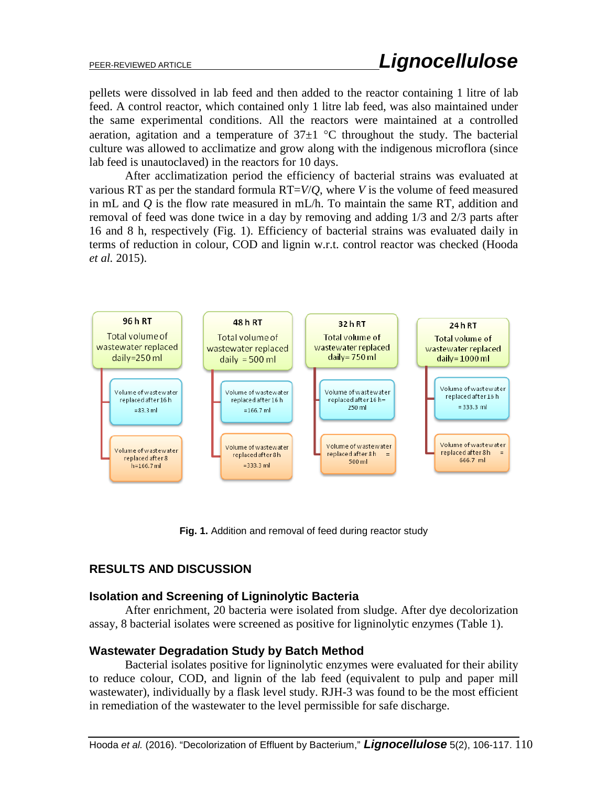pellets were dissolved in lab feed and then added to the reactor containing 1 litre of lab feed. A control reactor, which contained only 1 litre lab feed, was also maintained under the same experimental conditions. All the reactors were maintained at a controlled aeration, agitation and a temperature of  $37\pm1$  °C throughout the study. The bacterial culture was allowed to acclimatize and grow along with the indigenous microflora (since lab feed is unautoclaved) in the reactors for 10 days.

After acclimatization period the efficiency of bacterial strains was evaluated at various RT as per the standard formula RT=*V*/*Q*, where *V* is the volume of feed measured in mL and *Q* is the flow rate measured in mL/h. To maintain the same RT, addition and removal of feed was done twice in a day by removing and adding 1/3 and 2/3 parts after 16 and 8 h, respectively (Fig. 1). Efficiency of bacterial strains was evaluated daily in terms of reduction in colour, COD and lignin w.r.t. control reactor was checked (Hooda *et al.* 2015).



**Fig. 1.** Addition and removal of feed during reactor study

# **RESULTS AND DISCUSSION**

# **Isolation and Screening of Ligninolytic Bacteria**

After enrichment, 20 bacteria were isolated from sludge. After dye decolorization assay, 8 bacterial isolates were screened as positive for ligninolytic enzymes (Table 1).

# **Wastewater Degradation Study by Batch Method**

Bacterial isolates positive for ligninolytic enzymes were evaluated for their ability to reduce colour, COD, and lignin of the lab feed (equivalent to pulp and paper mill wastewater), individually by a flask level study. RJH-3 was found to be the most efficient in remediation of the wastewater to the level permissible for safe discharge.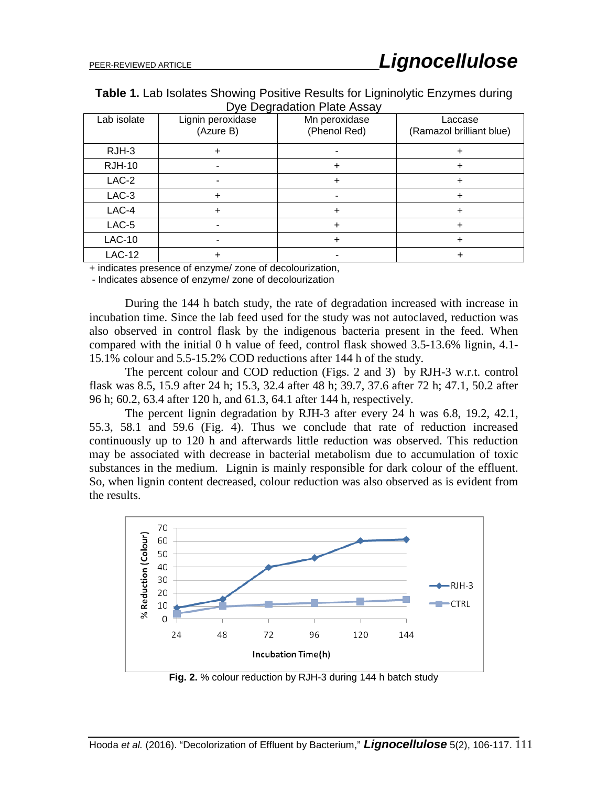**Table 1.** Lab Isolates Showing Positive Results for Ligninolytic Enzymes during Dye Degradation Plate Assay

| - ອ<br>. <i>.</i> |                                |                               |                                     |  |  |  |  |  |  |
|-------------------|--------------------------------|-------------------------------|-------------------------------------|--|--|--|--|--|--|
| Lab isolate       | Lignin peroxidase<br>(Azure B) | Mn peroxidase<br>(Phenol Red) | Laccase<br>(Ramazol brilliant blue) |  |  |  |  |  |  |
| RJH-3             |                                |                               |                                     |  |  |  |  |  |  |
| <b>RJH-10</b>     |                                |                               |                                     |  |  |  |  |  |  |
| $LAC-2$           |                                |                               |                                     |  |  |  |  |  |  |
| $LAC-3$           |                                |                               |                                     |  |  |  |  |  |  |
| LAC-4             |                                |                               |                                     |  |  |  |  |  |  |
| $LAC-5$           |                                |                               |                                     |  |  |  |  |  |  |
| <b>LAC-10</b>     |                                |                               |                                     |  |  |  |  |  |  |
| <b>LAC-12</b>     |                                |                               |                                     |  |  |  |  |  |  |

+ indicates presence of enzyme/ zone of decolourization,

- Indicates absence of enzyme/ zone of decolourization

During the 144 h batch study, the rate of degradation increased with increase in incubation time. Since the lab feed used for the study was not autoclaved, reduction was also observed in control flask by the indigenous bacteria present in the feed. When compared with the initial 0 h value of feed, control flask showed 3.5-13.6% lignin, 4.1- 15.1% colour and 5.5-15.2% COD reductions after 144 h of the study.

The percent colour and COD reduction (Figs. 2 and 3) by RJH-3 w.r.t. control flask was 8.5, 15.9 after 24 h; 15.3, 32.4 after 48 h; 39.7, 37.6 after 72 h; 47.1, 50.2 after 96 h; 60.2, 63.4 after 120 h, and 61.3, 64.1 after 144 h, respectively.

The percent lignin degradation by RJH-3 after every 24 h was 6.8, 19.2, 42.1, 55.3, 58.1 and 59.6 (Fig. 4). Thus we conclude that rate of reduction increased continuously up to 120 h and afterwards little reduction was observed. This reduction may be associated with decrease in bacterial metabolism due to accumulation of toxic substances in the medium. Lignin is mainly responsible for dark colour of the effluent. So, when lignin content decreased, colour reduction was also observed as is evident from the results.



**Fig. 2.** % colour reduction by RJH-3 during 144 h batch study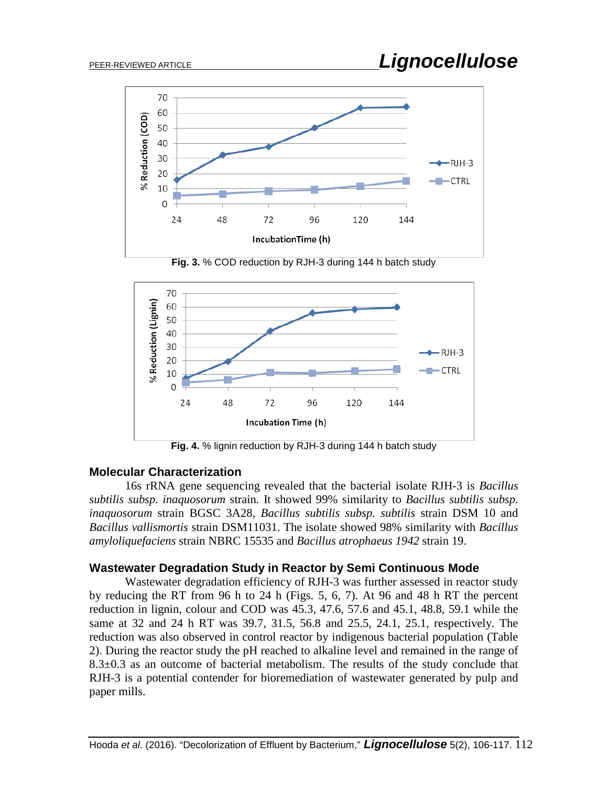

**Fig. 3.** % COD reduction by RJH-3 during 144 h batch study



**Fig. 4.** % lignin reduction by RJH-3 during 144 h batch study

# **Molecular Characterization**

16s rRNA gene sequencing revealed that the bacterial isolate RJH-3 is *Bacillus subtilis subsp. inaquosorum* strain*.* It showed 99% similarity to *Bacillus subtilis subsp. inaquosorum* strain BGSC 3A28*, Bacillus subtilis subsp. subtilis* strain DSM 10 and *Bacillus vallismortis* strain DSM11031. The isolate showed 98% similarity with *Bacillus amyloliquefaciens* strain NBRC 15535 and *Bacillus atrophaeus 1942* strain 19.

# **Wastewater Degradation Study in Reactor by Semi Continuous Mode**

Wastewater degradation efficiency of RJH-3 was further assessed in reactor study by reducing the RT from 96 h to 24 h (Figs. 5, 6, 7). At 96 and 48 h RT the percent reduction in lignin, colour and COD was 45.3, 47.6, 57.6 and 45.1, 48.8, 59.1 while the same at 32 and 24 h RT was 39.7, 31.5, 56.8 and 25.5, 24.1, 25.1, respectively. The reduction was also observed in control reactor by indigenous bacterial population (Table 2). During the reactor study the pH reached to alkaline level and remained in the range of 8.3±0.3 as an outcome of bacterial metabolism. The results of the study conclude that RJH-3 is a potential contender for bioremediation of wastewater generated by pulp and paper mills.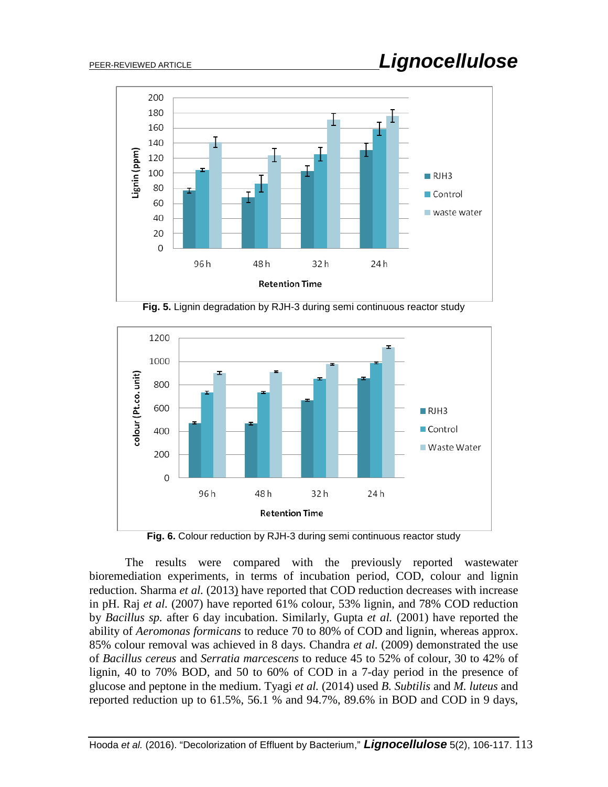

**Fig. 5.** Lignin degradation by RJH-3 during semi continuous reactor study



**Fig. 6.** Colour reduction by RJH-3 during semi continuous reactor study

The results were compared with the previously reported wastewater bioremediation experiments, in terms of incubation period, COD, colour and lignin reduction. Sharma *et al.* (2013) have reported that COD reduction decreases with increase in pH. Raj *et al.* (2007) have reported 61% colour, 53% lignin, and 78% COD reduction by *Bacillus sp.* after 6 day incubation. Similarly, Gupta *et al.* (2001) have reported the ability of *Aeromonas formicans* to reduce 70 to 80% of COD and lignin, whereas approx. 85% colour removal was achieved in 8 days. Chandra *et al*. (2009) demonstrated the use of *Bacillus cereus* and *Serratia marcescens* to reduce 45 to 52% of colour, 30 to 42% of lignin, 40 to 70% BOD, and 50 to 60% of COD in a 7-day period in the presence of glucose and peptone in the medium. Tyagi *et al.* (2014) used *B. Subtilis* and *M. luteus* and reported reduction up to 61.5%, 56.1 % and 94.7%, 89.6% in BOD and COD in 9 days,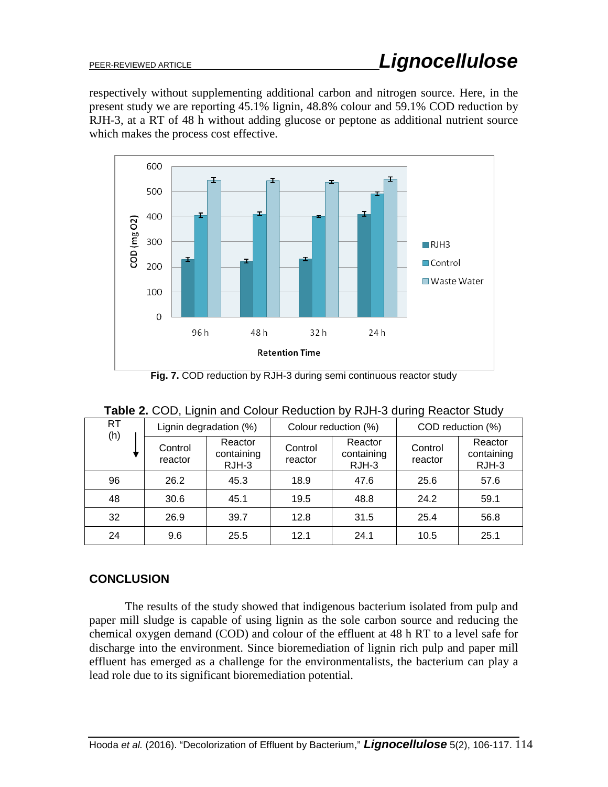respectively without supplementing additional carbon and nitrogen source. Here, in the present study we are reporting 45.1% lignin, 48.8% colour and 59.1% COD reduction by RJH-3, at a RT of 48 h without adding glucose or peptone as additional nutrient source which makes the process cost effective.



**Fig. 7.** COD reduction by RJH-3 during semi continuous reactor study

| RT<br>(h) | Lignin degradation (%) |                                  | Colour reduction (%) |                                  | COD reduction (%)  |                                |
|-----------|------------------------|----------------------------------|----------------------|----------------------------------|--------------------|--------------------------------|
|           | Control<br>reactor     | Reactor<br>containing<br>$RJH-3$ | Control<br>reactor   | Reactor<br>containing<br>$RJH-3$ | Control<br>reactor | Reactor<br>containing<br>RJH-3 |
| 96        | 26.2                   | 45.3                             | 18.9                 | 47.6                             | 25.6               | 57.6                           |
| 48        | 30.6                   | 45.1                             | 19.5                 | 48.8                             | 24.2               | 59.1                           |
| 32        | 26.9                   | 39.7                             | 12.8                 | 31.5                             | 25.4               | 56.8                           |
| 24        | 9.6                    | 25.5                             | 12.1                 | 24.1                             | 10.5               | 25.1                           |

| Table 2. COD, Lignin and Colour Reduction by RJH-3 during Reactor Study |  |  |
|-------------------------------------------------------------------------|--|--|
|-------------------------------------------------------------------------|--|--|

# **CONCLUSION**

The results of the study showed that indigenous bacterium isolated from pulp and paper mill sludge is capable of using lignin as the sole carbon source and reducing the chemical oxygen demand (COD) and colour of the effluent at 48 h RT to a level safe for discharge into the environment. Since bioremediation of lignin rich pulp and paper mill effluent has emerged as a challenge for the environmentalists, the bacterium can play a lead role due to its significant bioremediation potential.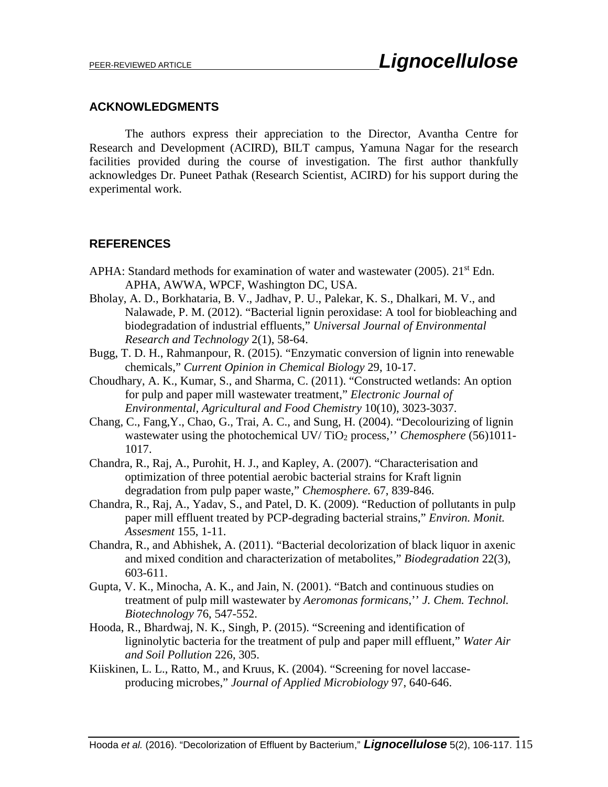### **ACKNOWLEDGMENTS**

The authors express their appreciation to the Director, Avantha Centre for Research and Development (ACIRD), BILT campus, Yamuna Nagar for the research facilities provided during the course of investigation. The first author thankfully acknowledges Dr. Puneet Pathak (Research Scientist, ACIRD) for his support during the experimental work.

# **REFERENCES**

- APHA: Standard methods for examination of water and wastewater (2005).  $21^{st}$  Edn. APHA, AWWA, WPCF, Washington DC, USA.
- Bholay, A. D., Borkhataria, B. V., Jadhav, P. U., Palekar, K. S., Dhalkari, M. V., and Nalawade, P. M. (2012). "Bacterial lignin peroxidase: A tool for biobleaching and biodegradation of industrial effluents," *Universal Journal of Environmental Research and Technology* 2(1), 58-64.
- Bugg, T. D. H., Rahmanpour, R. (2015). "Enzymatic conversion of lignin into renewable chemicals," *Current Opinion in Chemical Biology* 29, 10-17.
- Choudhary, A. K., Kumar, S., and Sharma, C. (2011). "Constructed wetlands: An option for pulp and paper mill wastewater treatment," *Electronic Journal of Environmental, Agricultural and Food Chemistry* 10(10), 3023-3037.
- Chang, C., Fang,Y., Chao, G., Trai, A. C., and Sung, H. (2004). "Decolourizing of lignin wastewater using the photochemical UV/TiO<sub>2</sub> process," *Chemosphere* (56)1011-1017.
- Chandra, R., Raj, A., Purohit, H. J., and Kapley, A. (2007). "Characterisation and optimization of three potential aerobic bacterial strains for Kraft lignin degradation from pulp paper waste," *Chemosphere.* 67, 839-846.
- Chandra, R., Raj, A., Yadav, S., and Patel, D. K. (2009). "Reduction of pollutants in pulp paper mill effluent treated by PCP-degrading bacterial strains," *Environ. Monit. Assesment* 155, 1-11.
- Chandra, R., and Abhishek, A. (2011). "Bacterial decolorization of black liquor in axenic and mixed condition and characterization of metabolites," *Biodegradation* 22(3), 603-611.
- Gupta, V. K., Minocha, A. K., and Jain, N. (2001). "Batch and continuous studies on treatment of pulp mill wastewater by *Aeromonas formicans*,'' *J. Chem. Technol. Biotechnology* 76, 547-552.
- Hooda, R., Bhardwaj, N. K., Singh, P. (2015). "Screening and identification of ligninolytic bacteria for the treatment of pulp and paper mill effluent," *Water Air and Soil Pollution* 226, 305.
- Kiiskinen, L. L., Ratto, M., and Kruus, K. (2004). "Screening for novel laccaseproducing microbes," *Journal of Applied Microbiology* 97, 640-646.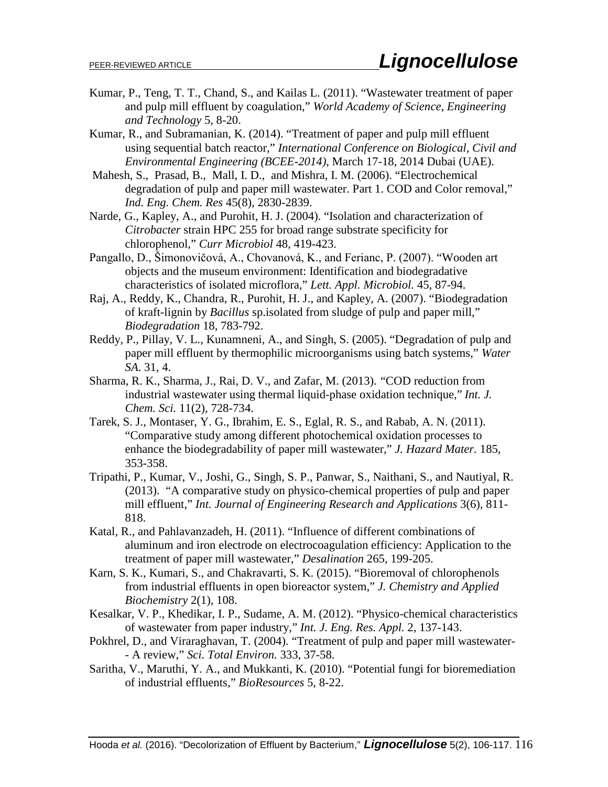- Kumar, P., Teng, T. T., Chand, S., and Kailas L. (2011). "Wastewater treatment of paper and pulp mill effluent by coagulation," *World Academy of Science, Engineering and Technology* 5, 8-20.
- Kumar, R., and Subramanian, K. (2014). "Treatment of paper and pulp mill effluent using sequential batch reactor," *International Conference on Biological, Civil and Environmental Engineering (BCEE-2014)*, March 17-18, 2014 Dubai (UAE).
- [Mahesh,](http://pubs.acs.org/action/doSearch?ContribStored=Mahesh%2C+S) S., [Prasad,](http://pubs.acs.org/action/doSearch?ContribStored=Prasad%2C+B) B., [Mall,](http://pubs.acs.org/action/doSearch?ContribStored=Mall%2C+I+D) I. D., [and Mishra,](http://pubs.acs.org/action/doSearch?ContribStored=Mishra%2C+I+M) I. M. (2006). "Electrochemical degradation of pulp and paper mill wastewater. Part 1. COD and Color removal," *Ind. Eng. Chem. Res* 45(8), 2830-2839.
- Narde, G., Kapley, A., and Purohit, H. J. (2004). "Isolation and characterization of *Citrobacter* strain HPC 255 for broad range substrate specificity for chlorophenol," *Curr Microbiol* 48, 419-423.
- Pangallo, D., Šimonovičová, A., Chovanová, K., and Ferianc, P. (2007). "Wooden art objects and the museum environment: Identification and biodegradative characteristics of isolated microflora," *Lett. Appl. Microbiol.* 45, 87-94.
- Raj, A., Reddy, K., Chandra, R., Purohit, H. J., and Kapley, A. (2007). "Biodegradation of kraft-lignin by *Bacillus* sp.isolated from sludge of pulp and paper mill," *Biodegradation* 18, 783-792.
- Reddy, P., Pillay, V. L., Kunamneni, A., and Singh, S. (2005). "Degradation of pulp and paper mill effluent by thermophilic microorganisms using batch systems," *Water SA*. 31, 4.
- Sharma, R. K., Sharma, J., Rai, D. V., and Zafar, M. (2013). "COD reduction from industrial wastewater using thermal liquid-phase oxidation technique," *Int. J. Chem. Sci.* 11(2), 728-734.
- Tarek, S. J., Montaser, Y. G., Ibrahim, E. S., Eglal, R. S., and Rabab, A. N. (2011). "Comparative study among different photochemical oxidation processes to enhance the biodegradability of paper mill wastewater," *J. Hazard Mater.* 185, 353-358.
- Tripathi, P., Kumar, V., Joshi, G., Singh, S. P., Panwar, S., Naithani, S., and Nautiyal, R. (2013). "A comparative study on physico-chemical properties of pulp and paper mill effluent," *Int. Journal of Engineering Research and Applications* 3(6), 811- 818.
- Katal, R., and Pahlavanzadeh, H. (2011). "Influence of different combinations of aluminum and iron electrode on electrocoagulation efficiency: Application to the treatment of paper mill wastewater," *Desalination* 265, 199-205.
- Karn, S. K., Kumari, S., and Chakravarti, S. K. (2015). "Bioremoval of chlorophenols from industrial effluents in open bioreactor system," *J. Chemistry and Applied Biochemistry* 2(1), 108.
- Kesalkar, V. P., Khedikar, I. P., Sudame, A. M. (2012). "Physico-chemical characteristics of wastewater from paper industry," *Int. J. Eng. Res. Appl.* 2, 137-143.
- Pokhrel, D., and Viraraghavan, T. (2004). "Treatment of pulp and paper mill wastewater- - A review," *Sci. Total Environ.* 333, 37-58.
- Saritha, V., Maruthi, Y. A., and Mukkanti, K. (2010). "Potential fungi for bioremediation of industrial effluents," *BioResources* 5, 8-22.